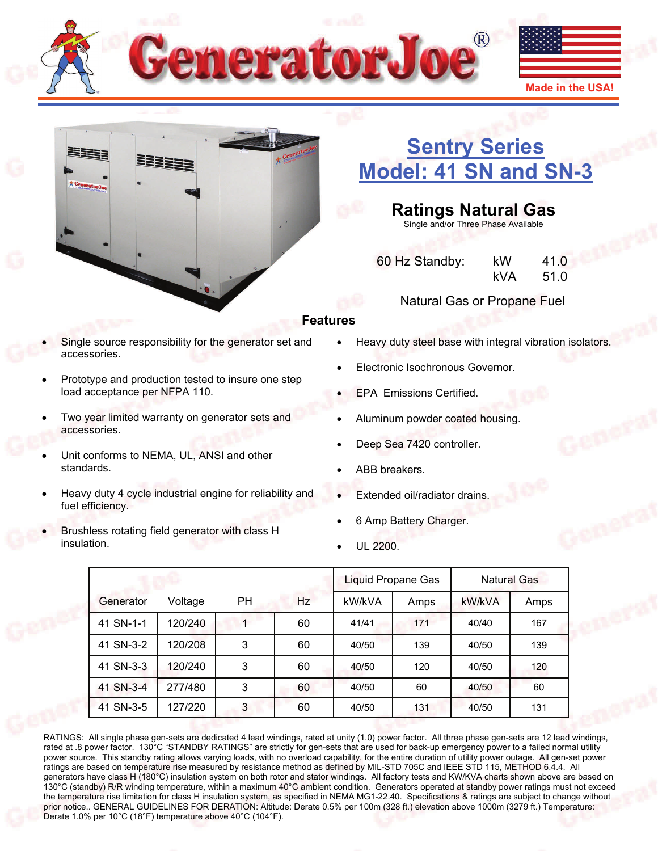



# **[Sentry Series](http://www.generatorjoe.net/product.asp?0=205&1=565&3=4357)  [Model: 41 SN and SN-3](http://www.generatorjoe.net/product.asp?0=205&1=565&3=4357)**

**Ratings Natural Gas**  Single and/or Three Phase Available

 60 Hz Standby: kW 41.0 kVA 51.0

Natural Gas or Propane Fuel

#### **Features**

- Single source responsibility for the generator set and accessories.
- Prototype and production tested to insure one step load acceptance per NFPA 110.
- Two year limited warranty on generator sets and accessories.
- Unit conforms to NEMA, UL, ANSI and other standards.
- Heavy duty 4 cycle industrial engine for reliability and fuel efficiency.
- Brushless rotating field generator with class H insulation.
- Heavy duty steel base with integral vibration isolators.
- Electronic Isochronous Governor.
- EPA Emissions Certified.
- Aluminum powder coated housing.
- Deep Sea 7420 controller.
- ABB breakers.
- Extended oil/radiator drains.
- 6 Amp Battery Charger.
- UL 2200.

|           |         |    |    |        | <b>Liquid Propane Gas</b> |        | <b>Natural Gas</b> |
|-----------|---------|----|----|--------|---------------------------|--------|--------------------|
| Generator | Voltage | PН | Hz | kW/kVA | Amps                      | kW/kVA | Amps               |
| 41 SN-1-1 | 120/240 |    | 60 | 41/41  | 171                       | 40/40  | 167                |
| 41 SN-3-2 | 120/208 | 3  | 60 | 40/50  | 139                       | 40/50  | 139                |
| 41 SN-3-3 | 120/240 | 3  | 60 | 40/50  | 120                       | 40/50  | 120                |
| 41 SN-3-4 | 277/480 | 3  | 60 | 40/50  | 60                        | 40/50  | 60                 |
| 41 SN-3-5 | 127/220 | 3  | 60 | 40/50  | 131                       | 40/50  | 131                |

RATINGS: All single phase gen-sets are dedicated 4 lead windings, rated at unity (1.0) power factor. All three phase gen-sets are 12 lead windings, rated at .8 power factor. 130°C "STANDBY RATINGS" are strictly for gen-sets that are used for back-up emergency power to a failed normal utility power source. This standby rating allows varying loads, with no overload capability, for the entire duration of utility power outage. All gen-set power ratings are based on temperature rise measured by resistance method as defined by MIL-STD 705C and IEEE STD 115, METHOD 6.4.4. All generators have class H (180°C) insulation system on both rotor and stator windings. All factory tests and KW/KVA charts shown above are based on 130°C (standby) R/R winding temperature, within a maximum 40°C ambient condition. Generators operated at standby power ratings must not exceed the temperature rise limitation for class H insulation system, as specified in NEMA MG1-22.40. Specifications & ratings are subject to change without prior notice.. GENERAL GUIDELINES FOR DERATION: Altitude: Derate 0.5% per 100m (328 ft.) elevation above 1000m (3279 ft.) Temperature: Derate 1.0% per 10°C (18°F) temperature above 40°C (104°F).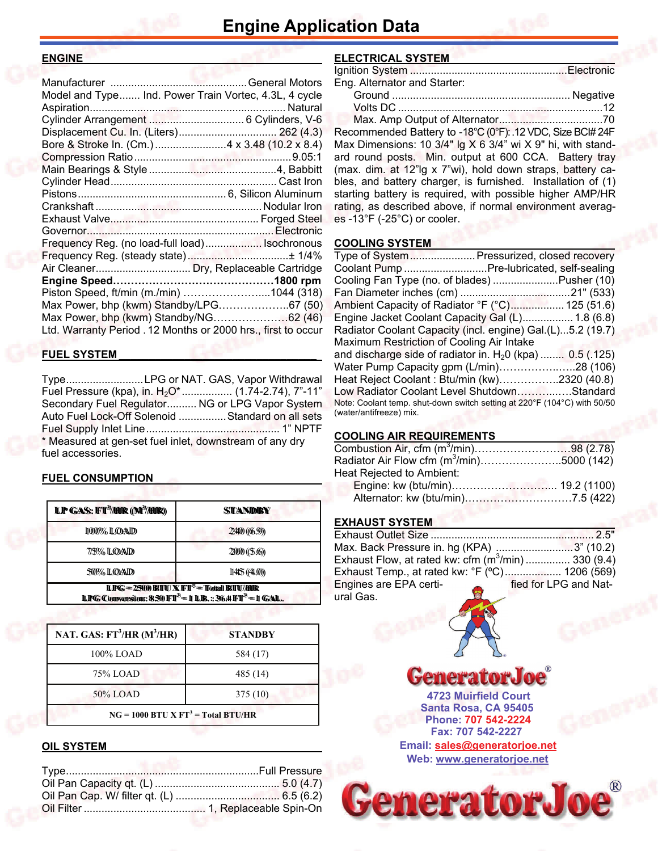#### **ENGINE\_\_\_\_\_\_\_\_\_\_\_\_\_\_\_\_\_\_\_\_\_\_\_\_\_\_\_\_\_\_\_\_\_\_\_\_\_\_\_**

| Model and Type Ind. Power Train Vortec, 4.3L, 4 cycle         |  |
|---------------------------------------------------------------|--|
|                                                               |  |
|                                                               |  |
|                                                               |  |
|                                                               |  |
|                                                               |  |
|                                                               |  |
|                                                               |  |
|                                                               |  |
|                                                               |  |
|                                                               |  |
|                                                               |  |
| Frequency Reg. (no load-full load) Isochronous                |  |
|                                                               |  |
|                                                               |  |
|                                                               |  |
| Piston Speed, ft/min (m./min) 1044 (318)                      |  |
| Max Power, bhp (kwm) Standby/LPG67 (50)                       |  |
| Max Power, bhp (kwm) Standby/NG62 (46)                        |  |
| Ltd. Warranty Period . 12 Months or 2000 hrs., first to occur |  |
|                                                               |  |

#### **FUEL SYSTEM \_\_\_\_\_\_\_\_\_\_\_\_\_\_\_\_\_\_\_\_\_\_\_\_\_\_\_\_\_\_\_\_\_**

Type .......................... LPG or NAT. GAS, Vapor Withdrawal Fuel Pressure (kpa), in. H<sub>2</sub>O\* ................. (1.74-2.74), 7"-11" Secondary Fuel Regulator .......... NG or LPG Vapor System Auto Fuel Lock-Off Solenoid ................ Standard on all sets Fuel Supply Inlet Line ............................................. 1" NPTF \* Measured at gen-set fuel inlet, downstream of any dry fuel accessories.

#### **FUEL CONSUMPTION**

| LP GAS: FT <sup>3</sup> /HR (M <sup>3</sup> /HR)                                                                                         | STANDBY     |  |  |
|------------------------------------------------------------------------------------------------------------------------------------------|-------------|--|--|
| 1000% LOAD                                                                                                                               | 2440 (6.9)  |  |  |
| 7759% ILOADD                                                                                                                             | 2000 (5.6)  |  |  |
| 50% LOAD                                                                                                                                 | 11445(44.0) |  |  |
| <b>LPG</b> = $2500$ BIU X FT <sup>3</sup> = Total BIU/HR<br><b>LPG Conversion: 8.50 FT<sup>3</sup>=1 LB.: 36.4 FT<sup>3</sup>=1 GAL.</b> |             |  |  |

| NAT. GAS: $FT^3/HR$ (M <sup>3</sup> /HR) | <b>STANDBY</b> |  |  |
|------------------------------------------|----------------|--|--|
| 100% LOAD                                | 584 (17)       |  |  |
| 75% LOAD                                 | 485 (14)       |  |  |
| 50% LOAD<br>375 (10)                     |                |  |  |
| $NG = 1000 BTU X FT3 = Total BTU/HR$     |                |  |  |

#### **OIL SYSTEM**

#### **ELECTRICAL SYSTEM \_\_\_\_\_\_\_\_\_\_\_\_\_\_\_\_\_\_\_\_\_\_\_\_\_\_**

| Eng. Alternator and Starter: |  |
|------------------------------|--|
|                              |  |
|                              |  |
|                              |  |

Recommended Battery to -18°C (0°F): . 12 VDC, Size BCI# 24F Max Dimensions: 10 3/4" lg X 6 3/4" wi X 9" hi, with standard round posts. Min. output at 600 CCA. Battery tray (max. dim. at 12"lg x 7"wi), hold down straps, battery cables, and battery charger, is furnished. Installation of (1) starting battery is required, with possible higher AMP/HR rating, as described above, if normal environment averages -13°F (-25°C) or cooler.

#### **COOLING SYSTEM**

| Type of System Pressurized, closed recovery                                                         |  |
|-----------------------------------------------------------------------------------------------------|--|
| Coolant Pump  Pre-lubricated, self-sealing                                                          |  |
| Cooling Fan Type (no. of blades) Pusher (10)                                                        |  |
|                                                                                                     |  |
| Ambient Capacity of Radiator °F (°C) 125 (51.6)                                                     |  |
| Engine Jacket Coolant Capacity Gal (L) 1.8 (6.8)                                                    |  |
| Radiator Coolant Capacity (incl. engine) Gal. (L)5.2 (19.7)                                         |  |
| Maximum Restriction of Cooling Air Intake                                                           |  |
| and discharge side of radiator in. $H20$ (kpa)  0.5 (.125)                                          |  |
| Water Pump Capacity gpm (L/min)28 (106)                                                             |  |
| Heat Reject Coolant: Btu/min (kw)2320 (40.8)                                                        |  |
| Low Radiator Coolant Level ShutdownStandard                                                         |  |
| Note: Coolant temp. shut-down switch setting at 220°F (104°C) with 50/50<br>(water/antifreeze) mix. |  |

#### **COOLING AIR REQUIREMENTS**

| Radiator Air Flow cfm (m <sup>3</sup> /min)5000 (142) |  |
|-------------------------------------------------------|--|
| Heat Rejected to Ambient:                             |  |
|                                                       |  |
|                                                       |  |

#### **EXHAUST SYSTEM**

| Max. Back Pressure in. hg (KPA) 3" (10.2)           |                       |
|-----------------------------------------------------|-----------------------|
| Exhaust Flow, at rated kw: cfm $(m^3/mn)$ 330 (9.4) |                       |
|                                                     |                       |
| Engines are EPA certi-<br>$\sim$                    | fied for LPG and Nat- |
| ural Gas.                                           |                       |



**Santa Rosa, CA 95405 4723 Muirfield Court Fax: 707 542-2227 Phone: 707 542-2224 Web: [www.generatorjoe.net](http://www.generatorjoe.net)  Email: [sales@generatorjoe.net](mailto:sales@generatorjoe.net?subject=Your%20products)**

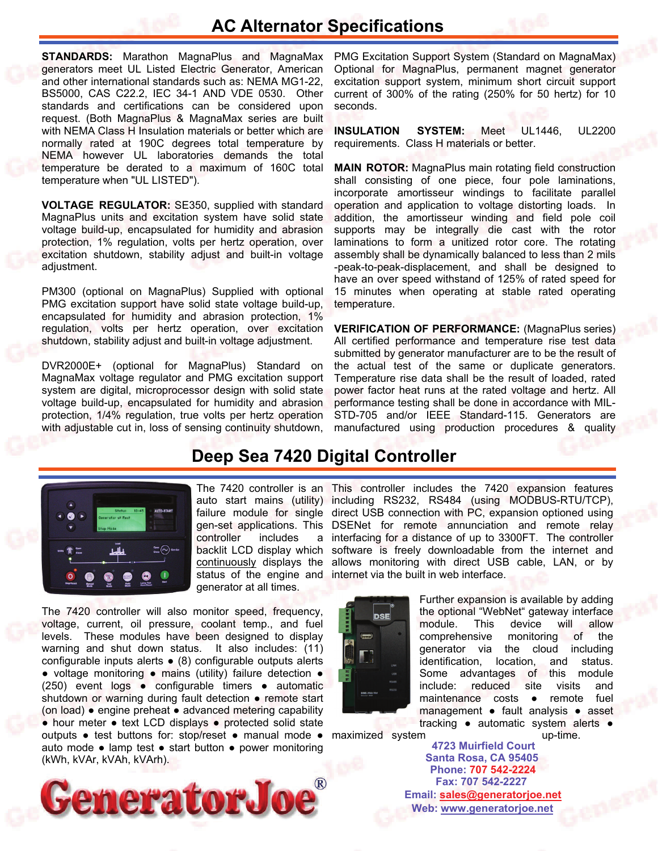# **AC Alternator Specifications**

**STANDARDS:** Marathon MagnaPlus and MagnaMax generators meet UL Listed Electric Generator, American and other international standards such as: NEMA MG1-22, BS5000, CAS C22.2, IEC 34-1 AND VDE 0530. Other standards and certifications can be considered upon request. (Both MagnaPlus & MagnaMax series are built with NEMA Class H Insulation materials or better which are normally rated at 190C degrees total temperature by NEMA however UL laboratories demands the total temperature be derated to a maximum of 160C total temperature when "UL LISTED").

**VOLTAGE REGULATOR:** SE350, supplied with standard MagnaPlus units and excitation system have solid state voltage build-up, encapsulated for humidity and abrasion protection, 1% regulation, volts per hertz operation, over excitation shutdown, stability adjust and built-in voltage adjustment.

PM300 (optional on MagnaPlus) Supplied with optional PMG excitation support have solid state voltage build-up, encapsulated for humidity and abrasion protection, 1% regulation, volts per hertz operation, over excitation shutdown, stability adjust and built-in voltage adjustment.

DVR2000E+ (optional for MagnaPlus) Standard on MagnaMax voltage regulator and PMG excitation support system are digital, microprocessor design with solid state voltage build-up, encapsulated for humidity and abrasion protection, 1/4% regulation, true volts per hertz operation with adjustable cut in, loss of sensing continuity shutdown,

PMG Excitation Support System (Standard on MagnaMax) Optional for MagnaPlus, permanent magnet generator excitation support system, minimum short circuit support current of 300% of the rating (250% for 50 hertz) for 10 seconds.

**INSULATION SYSTEM:** Meet UL1446, UL2200 requirements. Class H materials or better.

**MAIN ROTOR:** MagnaPlus main rotating field construction shall consisting of one piece, four pole laminations, incorporate amortisseur windings to facilitate parallel operation and application to voltage distorting loads. In addition, the amortisseur winding and field pole coil supports may be integrally die cast with the rotor laminations to form a unitized rotor core. The rotating assembly shall be dynamically balanced to less than 2 mils -peak-to-peak-displacement, and shall be designed to have an over speed withstand of 125% of rated speed for 15 minutes when operating at stable rated operating temperature.

**VERIFICATION OF PERFORMANCE:** (MagnaPlus series) All certified performance and temperature rise test data submitted by generator manufacturer are to be the result of the actual test of the same or duplicate generators. Temperature rise data shall be the result of loaded, rated power factor heat runs at the rated voltage and hertz. All performance testing shall be done in accordance with MIL-STD-705 and/or IEEE Standard-115. Generators are manufactured using production procedures & quality

## **Deep Sea 7420 Digital Controller**



controller includes generator at all times.

The 7420 controller will also monitor speed, frequency, voltage, current, oil pressure, coolant temp., and fuel levels. These modules have been designed to display warning and shut down status. It also includes: (11) configurable inputs alerts ● (8) configurable outputs alerts ● voltage monitoring ● mains (utility) failure detection ● (250) event logs ● configurable timers ● automatic shutdown or warning during fault detection • remote start (on load) ● engine preheat ● advanced metering capability ● hour meter ● text LCD displays ● protected solid state outputs ● test buttons for: stop/reset ● manual mode ● auto mode ● lamp test ● start button ● power monitoring (kWh, kVAr, kVAh, kVArh).



The 7420 controller is an This controller includes the 7420 expansion features auto start mains (utility) including RS232, RS484 (using MODBUS-RTU/TCP), failure module for single direct USB connection with PC, expansion optioned using gen-set applications. This DSENet for remote annunciation and remote relay a interfacing for a distance of up to 3300FT. The controller backlit LCD display which software is freely downloadable from the internet and continuously displays the allows monitoring with direct USB cable, LAN, or by status of the engine and internet via the built in web interface.



Further expansion is available by adding the optional "WebNet" gateway interface module. This device will allow comprehensive monitoring of the generator via the cloud including identification, location, and status. Some advantages of this module include: reduced site visits and maintenance costs ● remote fuel management ● fault analysis ● asset tracking ● automatic system alerts ●

maximized system up-time.

**Santa Rosa, CA 95405 4723 Muirfield Court Fax: 707 542-2227 Phone: 707 542-2224 Web: [www.generatorjoe.net](http://www.generatorjoe.net)  Email: [sales@generatorjoe.net](mailto:sales@generatorjoe.net?subject=Your%20products)**